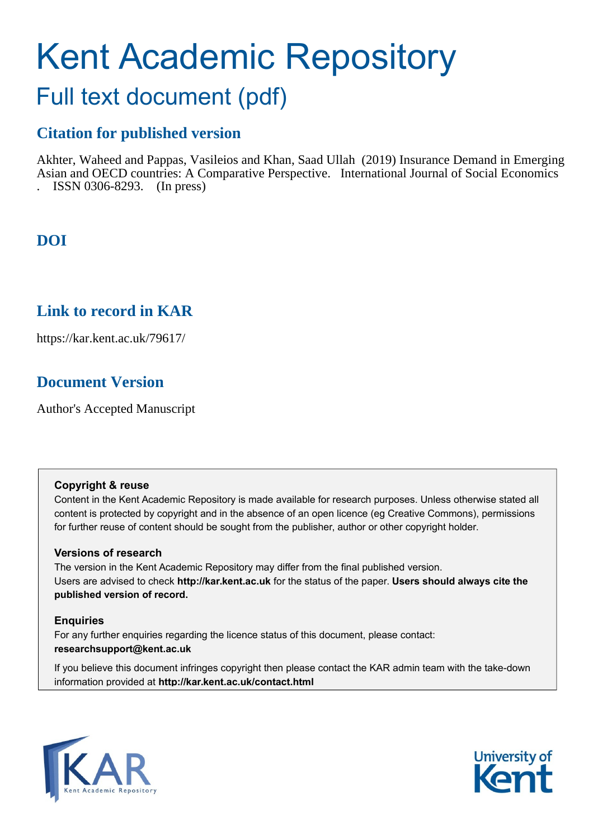# Kent Academic Repository

## Full text document (pdf)

## **Citation for published version**

Akhter, Waheed and Pappas, Vasileios and Khan, Saad Ullah (2019) Insurance Demand in Emerging Asian and OECD countries: A Comparative Perspective. International Journal of Social Economics . ISSN 0306-8293. (In press)

## **DOI**

## **Link to record in KAR**

https://kar.kent.ac.uk/79617/

## **Document Version**

Author's Accepted Manuscript

#### **Copyright & reuse**

Content in the Kent Academic Repository is made available for research purposes. Unless otherwise stated all content is protected by copyright and in the absence of an open licence (eg Creative Commons), permissions for further reuse of content should be sought from the publisher, author or other copyright holder.

#### **Versions of research**

The version in the Kent Academic Repository may differ from the final published version. Users are advised to check **http://kar.kent.ac.uk** for the status of the paper. **Users should always cite the published version of record.**

#### **Enquiries**

For any further enquiries regarding the licence status of this document, please contact: **researchsupport@kent.ac.uk**

If you believe this document infringes copyright then please contact the KAR admin team with the take-down information provided at **http://kar.kent.ac.uk/contact.html**



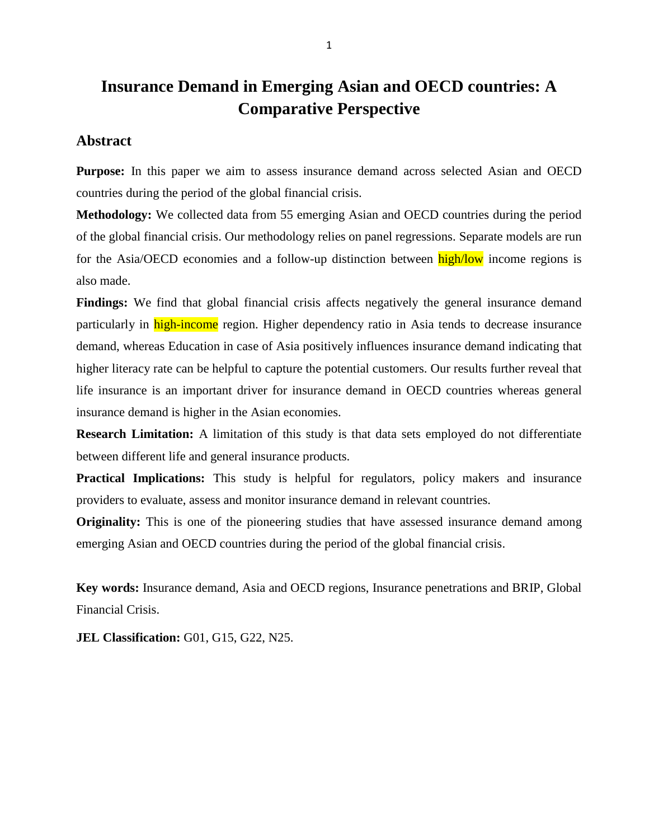## **Insurance Demand in Emerging Asian and OECD countries: A Comparative Perspective**

#### **Abstract**

**Purpose:** In this paper we aim to assess insurance demand across selected Asian and OECD countries during the period of the global financial crisis.

**Methodology:** We collected data from 55 emerging Asian and OECD countries during the period of the global financial crisis. Our methodology relies on panel regressions. Separate models are run for the Asia/OECD economies and a follow-up distinction between  $\frac{high/low}{low}$  income regions is also made.

Findings: We find that global financial crisis affects negatively the general insurance demand particularly in **high-income** region. Higher dependency ratio in Asia tends to decrease insurance demand, whereas Education in case of Asia positively influences insurance demand indicating that higher literacy rate can be helpful to capture the potential customers. Our results further reveal that life insurance is an important driver for insurance demand in OECD countries whereas general insurance demand is higher in the Asian economies.

**Research Limitation:** A limitation of this study is that data sets employed do not differentiate between different life and general insurance products.

**Practical Implications:** This study is helpful for regulators, policy makers and insurance providers to evaluate, assess and monitor insurance demand in relevant countries.

**Originality:** This is one of the pioneering studies that have assessed insurance demand among emerging Asian and OECD countries during the period of the global financial crisis.

**Key words:** Insurance demand, Asia and OECD regions, Insurance penetrations and BRIP, Global Financial Crisis.

**JEL Classification:** G01, G15, G22, N25.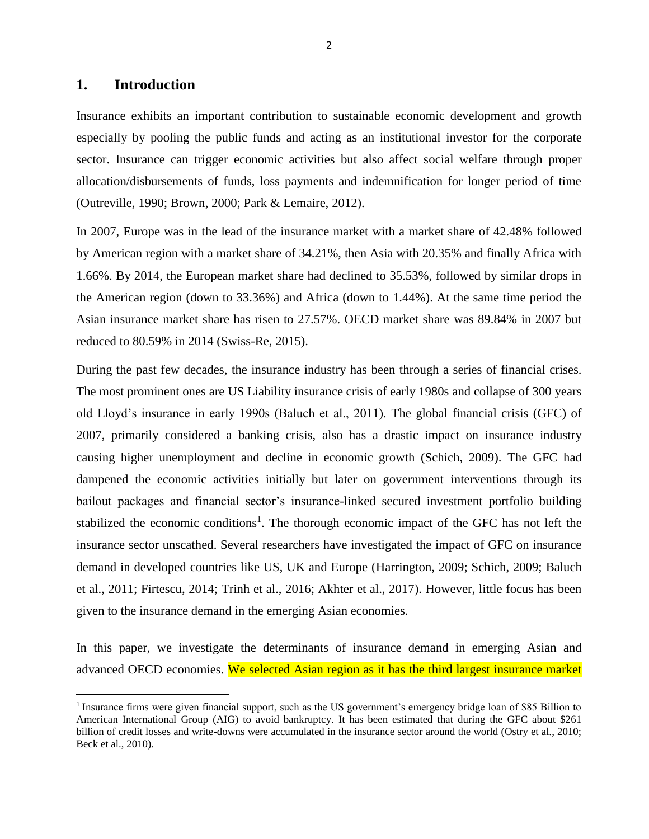#### **1. Introduction**

 $\overline{\phantom{a}}$ 

Insurance exhibits an important contribution to sustainable economic development and growth especially by pooling the public funds and acting as an institutional investor for the corporate sector. Insurance can trigger economic activities but also affect social welfare through proper allocation/disbursements of funds, loss payments and indemnification for longer period of time (Outreville, 1990; Brown, 2000; Park & Lemaire, 2012).

In 2007, Europe was in the lead of the insurance market with a market share of 42.48% followed by American region with a market share of 34.21%, then Asia with 20.35% and finally Africa with 1.66%. By 2014, the European market share had declined to 35.53%, followed by similar drops in the American region (down to 33.36%) and Africa (down to 1.44%). At the same time period the Asian insurance market share has risen to 27.57%. OECD market share was 89.84% in 2007 but reduced to 80.59% in 2014 (Swiss-Re, 2015).

During the past few decades, the insurance industry has been through a series of financial crises. The most prominent ones are US Liability insurance crisis of early 1980s and collapse of 300 years old Lloyd's insurance in early 1990s (Baluch et al., 2011). The global financial crisis (GFC) of 2007, primarily considered a banking crisis, also has a drastic impact on insurance industry causing higher unemployment and decline in economic growth (Schich, 2009). The GFC had dampened the economic activities initially but later on government interventions through its bailout packages and financial sector's insurance-linked secured investment portfolio building stabilized the economic conditions<sup>1</sup>. The thorough economic impact of the GFC has not left the insurance sector unscathed. Several researchers have investigated the impact of GFC on insurance demand in developed countries like US, UK and Europe (Harrington, 2009; Schich, 2009; Baluch et al., 2011; Firtescu, 2014; Trinh et al., 2016; Akhter et al., 2017). However, little focus has been given to the insurance demand in the emerging Asian economies.

In this paper, we investigate the determinants of insurance demand in emerging Asian and advanced OECD economies. We selected Asian region as it has the third largest insurance market

<sup>&</sup>lt;sup>1</sup> Insurance firms were given financial support, such as the US government's emergency bridge loan of \$85 Billion to American International Group (AIG) to avoid bankruptcy. It has been estimated that during the GFC about \$261 billion of credit losses and write-downs were accumulated in the insurance sector around the world (Ostry et al., 2010; Beck et al., 2010).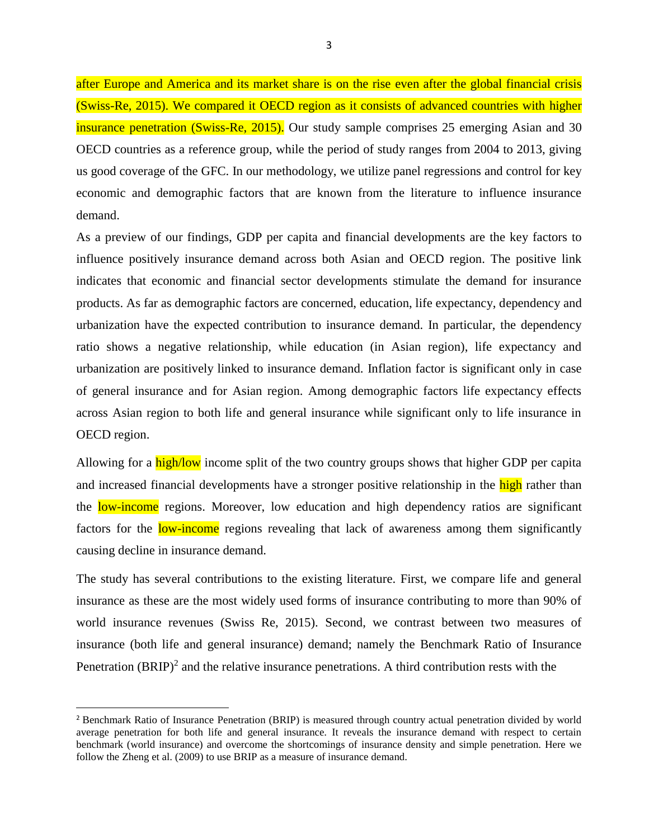after Europe and America and its market share is on the rise even after the global financial crisis (Swiss-Re, 2015). We compared it OECD region as it consists of advanced countries with higher insurance penetration (Swiss-Re, 2015). Our study sample comprises 25 emerging Asian and 30 OECD countries as a reference group, while the period of study ranges from 2004 to 2013, giving us good coverage of the GFC. In our methodology, we utilize panel regressions and control for key economic and demographic factors that are known from the literature to influence insurance demand.

As a preview of our findings, GDP per capita and financial developments are the key factors to influence positively insurance demand across both Asian and OECD region. The positive link indicates that economic and financial sector developments stimulate the demand for insurance products. As far as demographic factors are concerned, education, life expectancy, dependency and urbanization have the expected contribution to insurance demand. In particular, the dependency ratio shows a negative relationship, while education (in Asian region), life expectancy and urbanization are positively linked to insurance demand. Inflation factor is significant only in case of general insurance and for Asian region. Among demographic factors life expectancy effects across Asian region to both life and general insurance while significant only to life insurance in OECD region.

Allowing for a high/low income split of the two country groups shows that higher GDP per capita and increased financial developments have a stronger positive relationship in the high rather than the low-income regions. Moreover, low education and high dependency ratios are significant factors for the **low-income** regions revealing that lack of awareness among them significantly causing decline in insurance demand.

The study has several contributions to the existing literature. First, we compare life and general insurance as these are the most widely used forms of insurance contributing to more than 90% of world insurance revenues (Swiss Re, 2015). Second, we contrast between two measures of insurance (both life and general insurance) demand; namely the Benchmark Ratio of Insurance Penetration  $(BRIP)^2$  and the relative insurance penetrations. A third contribution rests with the

 $\overline{a}$ 

<sup>2</sup> Benchmark Ratio of Insurance Penetration (BRIP) is measured through country actual penetration divided by world average penetration for both life and general insurance. It reveals the insurance demand with respect to certain benchmark (world insurance) and overcome the shortcomings of insurance density and simple penetration. Here we follow the Zheng et al. (2009) to use BRIP as a measure of insurance demand.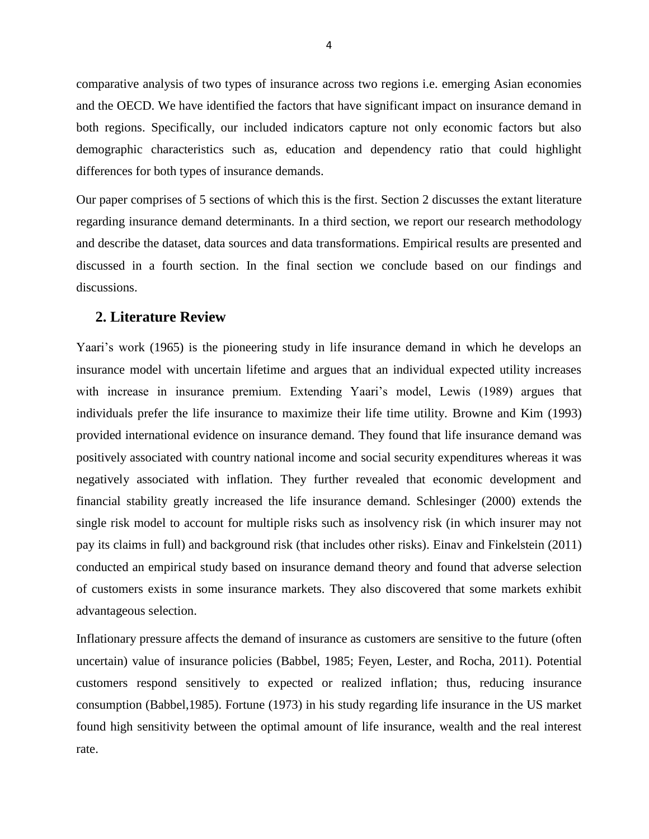comparative analysis of two types of insurance across two regions i.e. emerging Asian economies and the OECD. We have identified the factors that have significant impact on insurance demand in both regions. Specifically, our included indicators capture not only economic factors but also demographic characteristics such as, education and dependency ratio that could highlight differences for both types of insurance demands.

Our paper comprises of 5 sections of which this is the first. Section 2 discusses the extant literature regarding insurance demand determinants. In a third section, we report our research methodology and describe the dataset, data sources and data transformations. Empirical results are presented and discussed in a fourth section. In the final section we conclude based on our findings and discussions.

#### **2. Literature Review**

Yaari's work (1965) is the pioneering study in life insurance demand in which he develops an insurance model with uncertain lifetime and argues that an individual expected utility increases with increase in insurance premium. Extending Yaari's model, Lewis (1989) argues that individuals prefer the life insurance to maximize their life time utility. Browne and Kim (1993) provided international evidence on insurance demand. They found that life insurance demand was positively associated with country national income and social security expenditures whereas it was negatively associated with inflation. They further revealed that economic development and financial stability greatly increased the life insurance demand. Schlesinger (2000) extends the single risk model to account for multiple risks such as insolvency risk (in which insurer may not pay its claims in full) and background risk (that includes other risks). Einav and Finkelstein (2011) conducted an empirical study based on insurance demand theory and found that adverse selection of customers exists in some insurance markets. They also discovered that some markets exhibit advantageous selection.

Inflationary pressure affects the demand of insurance as customers are sensitive to the future (often uncertain) value of insurance policies (Babbel, 1985; Feyen, Lester, and Rocha, 2011). Potential customers respond sensitively to expected or realized inflation; thus, reducing insurance consumption (Babbel,1985). Fortune (1973) in his study regarding life insurance in the US market found high sensitivity between the optimal amount of life insurance, wealth and the real interest rate.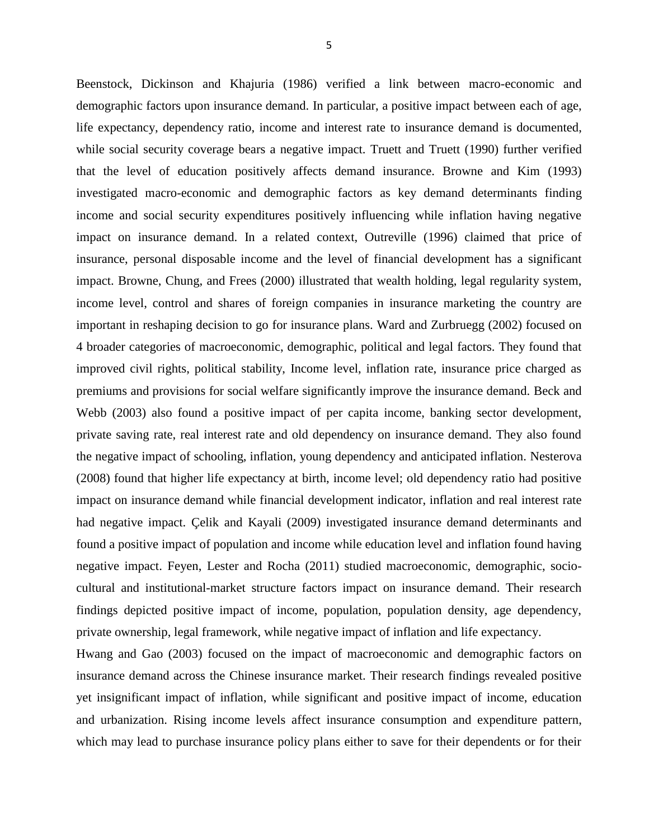Beenstock, Dickinson and Khajuria (1986) verified a link between macro-economic and demographic factors upon insurance demand. In particular, a positive impact between each of age, life expectancy, dependency ratio, income and interest rate to insurance demand is documented, while social security coverage bears a negative impact. Truett and Truett (1990) further verified that the level of education positively affects demand insurance. Browne and Kim (1993) investigated macro-economic and demographic factors as key demand determinants finding income and social security expenditures positively influencing while inflation having negative impact on insurance demand. In a related context, Outreville (1996) claimed that price of insurance, personal disposable income and the level of financial development has a significant impact. Browne, Chung, and Frees (2000) illustrated that wealth holding, legal regularity system, income level, control and shares of foreign companies in insurance marketing the country are important in reshaping decision to go for insurance plans. Ward and Zurbruegg (2002) focused on 4 broader categories of macroeconomic, demographic, political and legal factors. They found that improved civil rights, political stability, Income level, inflation rate, insurance price charged as premiums and provisions for social welfare significantly improve the insurance demand. Beck and Webb (2003) also found a positive impact of per capita income, banking sector development, private saving rate, real interest rate and old dependency on insurance demand. They also found the negative impact of schooling, inflation, young dependency and anticipated inflation. Nesterova (2008) found that higher life expectancy at birth, income level; old dependency ratio had positive impact on insurance demand while financial development indicator, inflation and real interest rate had negative impact. Çelik and Kayali (2009) investigated insurance demand determinants and found a positive impact of population and income while education level and inflation found having negative impact. Feyen, Lester and Rocha (2011) studied macroeconomic, demographic, sociocultural and institutional-market structure factors impact on insurance demand. Their research findings depicted positive impact of income, population, population density, age dependency,

private ownership, legal framework, while negative impact of inflation and life expectancy.

Hwang and Gao (2003) focused on the impact of macroeconomic and demographic factors on insurance demand across the Chinese insurance market. Their research findings revealed positive yet insignificant impact of inflation, while significant and positive impact of income, education and urbanization. Rising income levels affect insurance consumption and expenditure pattern, which may lead to purchase insurance policy plans either to save for their dependents or for their

5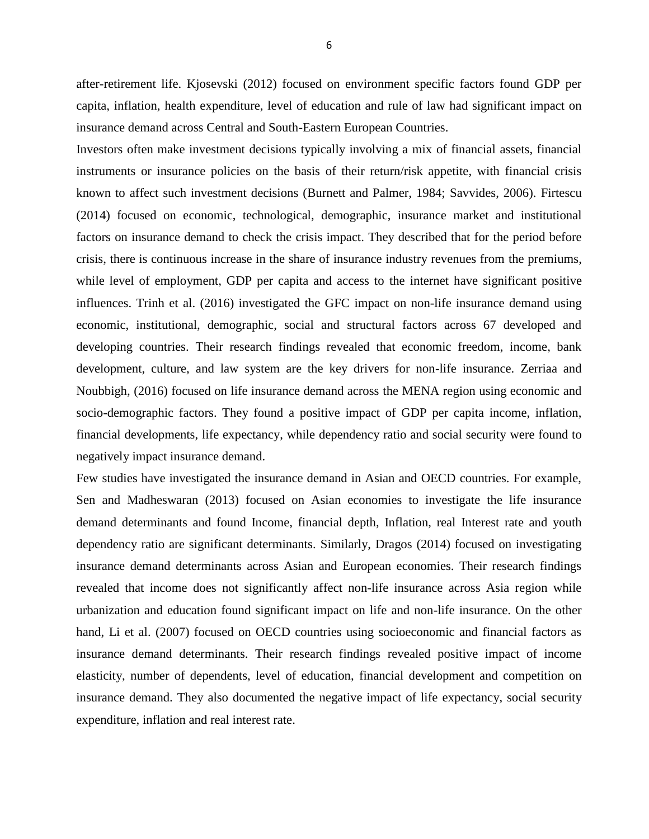after-retirement life. Kjosevski (2012) focused on environment specific factors found GDP per capita, inflation, health expenditure, level of education and rule of law had significant impact on insurance demand across Central and South-Eastern European Countries.

Investors often make investment decisions typically involving a mix of financial assets, financial instruments or insurance policies on the basis of their return/risk appetite, with financial crisis known to affect such investment decisions (Burnett and Palmer, 1984; Savvides, 2006). Firtescu (2014) focused on economic, technological, demographic, insurance market and institutional factors on insurance demand to check the crisis impact. They described that for the period before crisis, there is continuous increase in the share of insurance industry revenues from the premiums, while level of employment, GDP per capita and access to the internet have significant positive influences. Trinh et al. (2016) investigated the GFC impact on non-life insurance demand using economic, institutional, demographic, social and structural factors across 67 developed and developing countries. Their research findings revealed that economic freedom, income, bank development, culture, and law system are the key drivers for non-life insurance. Zerriaa and Noubbigh, (2016) focused on life insurance demand across the MENA region using economic and socio-demographic factors. They found a positive impact of GDP per capita income, inflation, financial developments, life expectancy, while dependency ratio and social security were found to negatively impact insurance demand.

Few studies have investigated the insurance demand in Asian and OECD countries. For example, Sen and Madheswaran (2013) focused on Asian economies to investigate the life insurance demand determinants and found Income, financial depth, Inflation, real Interest rate and youth dependency ratio are significant determinants. Similarly, Dragos (2014) focused on investigating insurance demand determinants across Asian and European economies. Their research findings revealed that income does not significantly affect non-life insurance across Asia region while urbanization and education found significant impact on life and non-life insurance. On the other hand, Li et al. (2007) focused on OECD countries using socioeconomic and financial factors as insurance demand determinants. Their research findings revealed positive impact of income elasticity, number of dependents, level of education, financial development and competition on insurance demand. They also documented the negative impact of life expectancy, social security expenditure, inflation and real interest rate.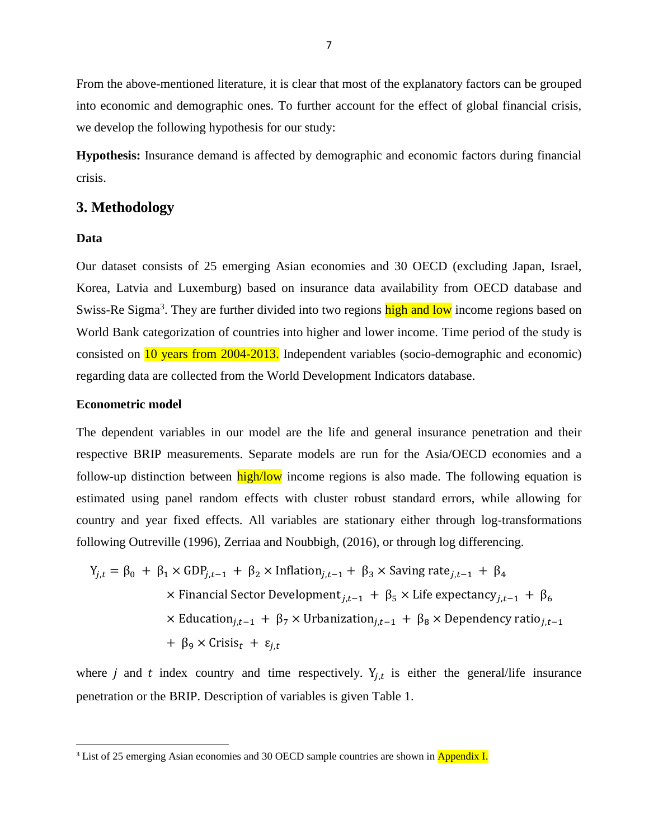From the above-mentioned literature, it is clear that most of the explanatory factors can be grouped into economic and demographic ones. To further account for the effect of global financial crisis, we develop the following hypothesis for our study:

**Hypothesis:** Insurance demand is affected by demographic and economic factors during financial crisis.

#### **3. Methodology**

#### **Data**

 $\overline{\phantom{a}}$ 

Our dataset consists of 25 emerging Asian economies and 30 OECD (excluding Japan, Israel, Korea, Latvia and Luxemburg) based on insurance data availability from OECD database and Swiss-Re Sigma<sup>3</sup>. They are further divided into two regions high and low income regions based on World Bank categorization of countries into higher and lower income. Time period of the study is consisted on 10 years from 2004-2013. Independent variables (socio-demographic and economic) regarding data are collected from the World Development Indicators database.

#### **Econometric model**

The dependent variables in our model are the life and general insurance penetration and their respective BRIP measurements. Separate models are run for the Asia/OECD economies and a follow-up distinction between high/low income regions is also made. The following equation is estimated using panel random effects with cluster robust standard errors, while allowing for country and year fixed effects. All variables are stationary either through log-transformations following Outreville (1996), Zerriaa and Noubbigh, (2016), or through log differencing.

$$
Y_{j,t} = \beta_0 + \beta_1 \times GDP_{j,t-1} + \beta_2 \times Inflation_{j,t-1} + \beta_3 \times Saving rate_{j,t-1} + \beta_4
$$
  
× Financial Sector Development<sub>j,t-1</sub> +  $\beta_5 \times$  Life expectancy<sub>j,t-1</sub> +  $\beta_6$   
× Education<sub>j,t-1</sub> +  $\beta_7 \times$  Urbanization<sub>j,t-1</sub> +  $\beta_8 \times$  Dependency ratio<sub>j,t-1</sub>  
+  $\beta_9 \times$  Crisis<sub>t</sub> +  $\varepsilon_{j,t}$ 

where *j* and *t* index country and time respectively.  $Y_{j,t}$  is either the general/life insurance penetration or the BRIP. Description of variables is given Table 1.

<sup>&</sup>lt;sup>3</sup> List of 25 emerging Asian economies and 30 OECD sample countries are shown in **Appendix I.**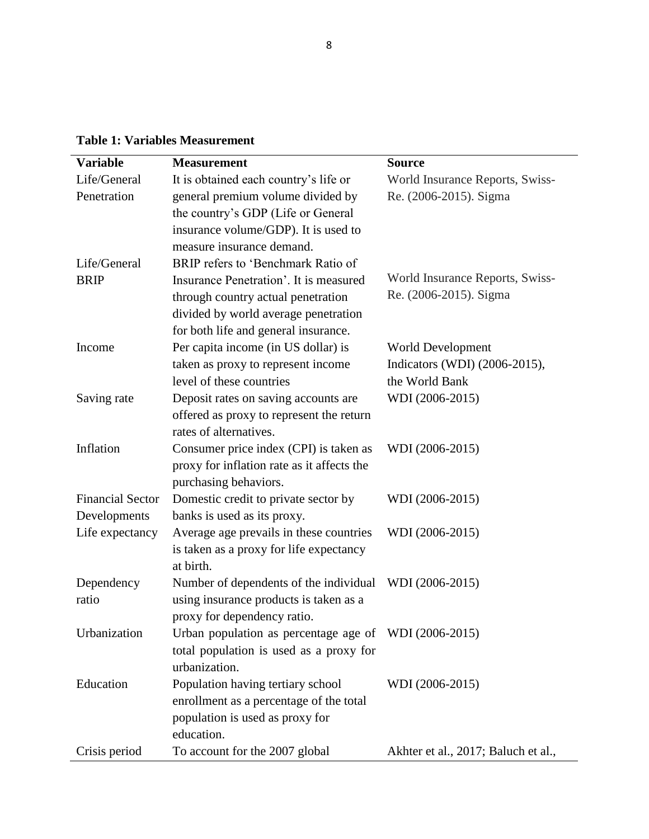**Table 1: Variables Measurement**

| <b>Variable</b>         | <b>Measurement</b>                                                                     | <b>Source</b>                       |
|-------------------------|----------------------------------------------------------------------------------------|-------------------------------------|
| Life/General            | It is obtained each country's life or                                                  | World Insurance Reports, Swiss-     |
| Penetration             | general premium volume divided by                                                      | Re. (2006-2015). Sigma              |
|                         | the country's GDP (Life or General                                                     |                                     |
|                         | insurance volume/GDP). It is used to                                                   |                                     |
|                         | measure insurance demand.                                                              |                                     |
| Life/General            | BRIP refers to 'Benchmark Ratio of                                                     |                                     |
| <b>BRIP</b>             | Insurance Penetration'. It is measured                                                 | World Insurance Reports, Swiss-     |
|                         | through country actual penetration                                                     | Re. (2006-2015). Sigma              |
|                         | divided by world average penetration                                                   |                                     |
|                         | for both life and general insurance.                                                   |                                     |
| Income                  | Per capita income (in US dollar) is                                                    | World Development                   |
|                         | taken as proxy to represent income                                                     | Indicators (WDI) (2006-2015),       |
|                         | level of these countries                                                               | the World Bank                      |
| Saving rate             | Deposit rates on saving accounts are                                                   | WDI (2006-2015)                     |
|                         | offered as proxy to represent the return                                               |                                     |
|                         | rates of alternatives.                                                                 |                                     |
| Inflation               | Consumer price index (CPI) is taken as                                                 | WDI (2006-2015)                     |
|                         | proxy for inflation rate as it affects the                                             |                                     |
|                         | purchasing behaviors.                                                                  |                                     |
| <b>Financial Sector</b> | Domestic credit to private sector by                                                   | WDI (2006-2015)                     |
| Developments            | banks is used as its proxy.                                                            |                                     |
| Life expectancy         | Average age prevails in these countries                                                | WDI (2006-2015)                     |
|                         | is taken as a proxy for life expectancy                                                |                                     |
|                         | at birth.                                                                              |                                     |
| Dependency              | Number of dependents of the individual                                                 | WDI (2006-2015)                     |
| ratio                   | using insurance products is taken as a                                                 |                                     |
| Urbanization            | proxy for dependency ratio.<br>Urban population as percentage age of WDI $(2006-2015)$ |                                     |
|                         |                                                                                        |                                     |
|                         | total population is used as a proxy for<br>urbanization.                               |                                     |
| Education               | Population having tertiary school                                                      | WDI (2006-2015)                     |
|                         | enrollment as a percentage of the total                                                |                                     |
|                         | population is used as proxy for                                                        |                                     |
|                         | education.                                                                             |                                     |
| Crisis period           | To account for the 2007 global                                                         | Akhter et al., 2017; Baluch et al., |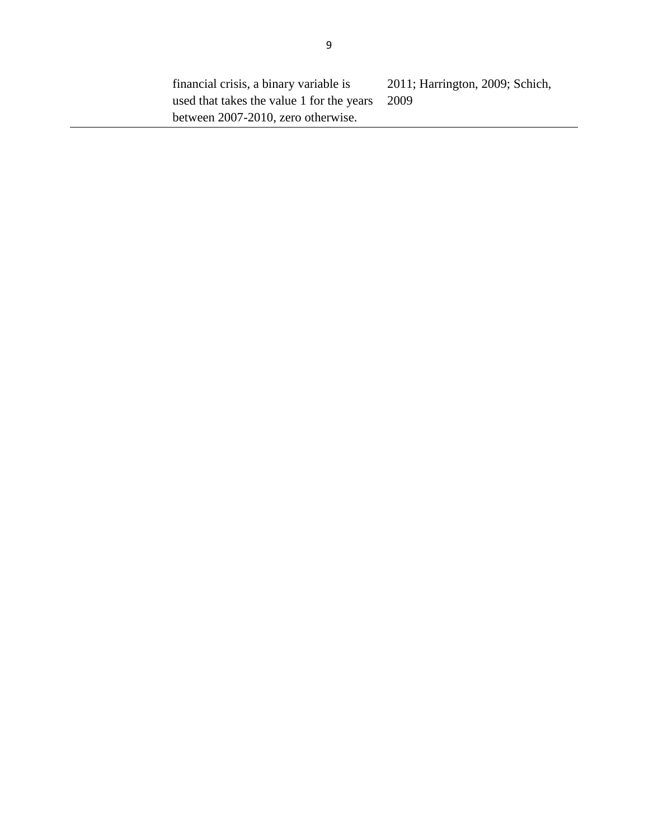financial crisis, a binary variable is used that takes the value 1 for the years between 2007-2010, zero otherwise. 2011; Harrington, 2009; Schich, 2009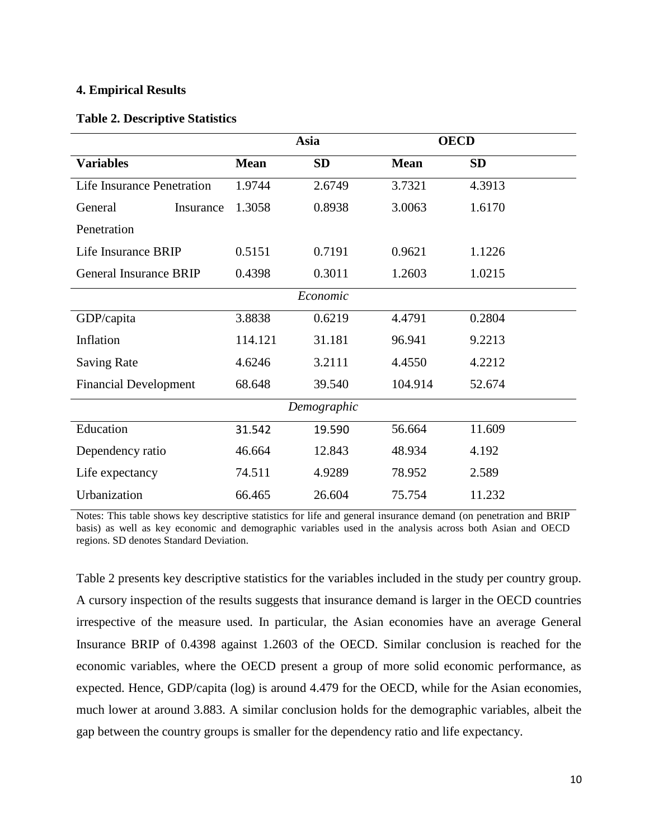#### **4. Empirical Results**

#### **Table 2. Descriptive Statistics**

|                                   | Asia        |             | <b>OECD</b> |           |
|-----------------------------------|-------------|-------------|-------------|-----------|
| <b>Variables</b>                  | <b>Mean</b> | <b>SD</b>   | <b>Mean</b> | <b>SD</b> |
| <b>Life Insurance Penetration</b> | 1.9744      | 2.6749      | 3.7321      | 4.3913    |
| General<br>Insurance              | 1.3058      | 0.8938      | 3.0063      | 1.6170    |
| Penetration                       |             |             |             |           |
| Life Insurance BRIP               | 0.5151      | 0.7191      | 0.9621      | 1.1226    |
| <b>General Insurance BRIP</b>     | 0.4398      | 0.3011      | 1.2603      | 1.0215    |
|                                   |             | Economic    |             |           |
| GDP/capita                        | 3.8838      | 0.6219      | 4.4791      | 0.2804    |
| Inflation                         | 114.121     | 31.181      | 96.941      | 9.2213    |
| <b>Saving Rate</b>                | 4.6246      | 3.2111      | 4.4550      | 4.2212    |
| <b>Financial Development</b>      | 68.648      | 39.540      | 104.914     | 52.674    |
|                                   |             | Demographic |             |           |
| Education                         | 31.542      | 19.590      | 56.664      | 11.609    |
| Dependency ratio                  | 46.664      | 12.843      | 48.934      | 4.192     |
| Life expectancy                   | 74.511      | 4.9289      | 78.952      | 2.589     |
| Urbanization                      | 66.465      | 26.604      | 75.754      | 11.232    |

Notes: This table shows key descriptive statistics for life and general insurance demand (on penetration and BRIP basis) as well as key economic and demographic variables used in the analysis across both Asian and OECD regions. SD denotes Standard Deviation.

Table 2 presents key descriptive statistics for the variables included in the study per country group. A cursory inspection of the results suggests that insurance demand is larger in the OECD countries irrespective of the measure used. In particular, the Asian economies have an average General Insurance BRIP of 0.4398 against 1.2603 of the OECD. Similar conclusion is reached for the economic variables, where the OECD present a group of more solid economic performance, as expected. Hence, GDP/capita (log) is around 4.479 for the OECD, while for the Asian economies, much lower at around 3.883. A similar conclusion holds for the demographic variables, albeit the gap between the country groups is smaller for the dependency ratio and life expectancy.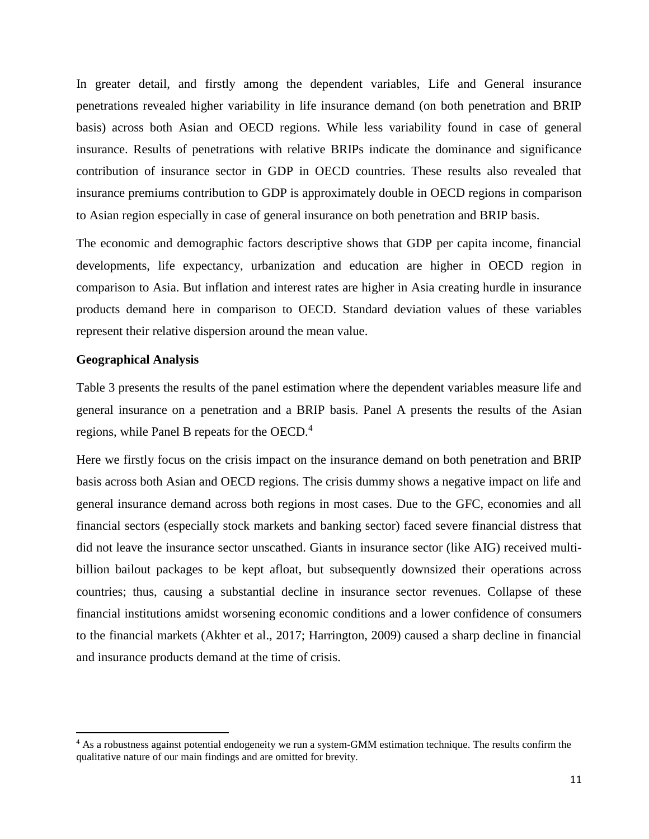In greater detail, and firstly among the dependent variables, Life and General insurance penetrations revealed higher variability in life insurance demand (on both penetration and BRIP basis) across both Asian and OECD regions. While less variability found in case of general insurance. Results of penetrations with relative BRIPs indicate the dominance and significance contribution of insurance sector in GDP in OECD countries. These results also revealed that insurance premiums contribution to GDP is approximately double in OECD regions in comparison to Asian region especially in case of general insurance on both penetration and BRIP basis.

The economic and demographic factors descriptive shows that GDP per capita income, financial developments, life expectancy, urbanization and education are higher in OECD region in comparison to Asia. But inflation and interest rates are higher in Asia creating hurdle in insurance products demand here in comparison to OECD. Standard deviation values of these variables represent their relative dispersion around the mean value.

#### **Geographical Analysis**

 $\overline{a}$ 

Table 3 presents the results of the panel estimation where the dependent variables measure life and general insurance on a penetration and a BRIP basis. Panel A presents the results of the Asian regions, while Panel B repeats for the OECD.<sup>4</sup>

Here we firstly focus on the crisis impact on the insurance demand on both penetration and BRIP basis across both Asian and OECD regions. The crisis dummy shows a negative impact on life and general insurance demand across both regions in most cases. Due to the GFC, economies and all financial sectors (especially stock markets and banking sector) faced severe financial distress that did not leave the insurance sector unscathed. Giants in insurance sector (like AIG) received multibillion bailout packages to be kept afloat, but subsequently downsized their operations across countries; thus, causing a substantial decline in insurance sector revenues. Collapse of these financial institutions amidst worsening economic conditions and a lower confidence of consumers to the financial markets (Akhter et al., 2017; Harrington, 2009) caused a sharp decline in financial and insurance products demand at the time of crisis.

<sup>&</sup>lt;sup>4</sup> As a robustness against potential endogeneity we run a system-GMM estimation technique. The results confirm the qualitative nature of our main findings and are omitted for brevity.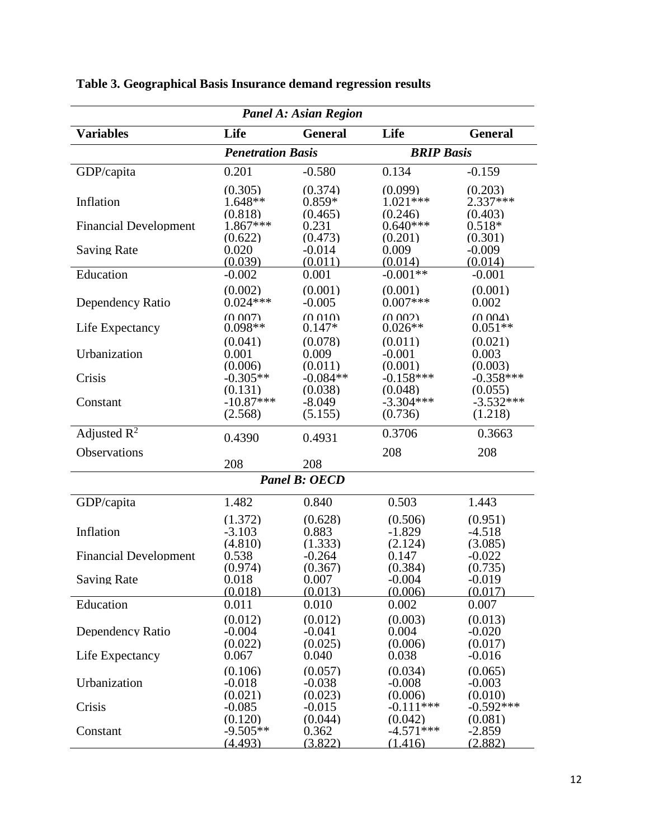| <b>Panel A: Asian Region</b>              |                                         |                                         |                                         |                                            |  |  |
|-------------------------------------------|-----------------------------------------|-----------------------------------------|-----------------------------------------|--------------------------------------------|--|--|
| <b>Variables</b>                          | Life                                    | <b>General</b>                          | Life                                    | <b>General</b>                             |  |  |
|                                           | <b>BRIP Basis</b>                       |                                         |                                         |                                            |  |  |
| GDP/capita                                | 0.201                                   | $-0.580$                                | 0.134                                   | $-0.159$                                   |  |  |
| Inflation                                 | (0.305)<br>$1.648**$<br>(0.818)         | (0.374)<br>$0.859*$<br>(0.465)          | (0.099)<br>$1.021***$<br>(0.246)        | (0.203)<br>2.337***<br>(0.403)             |  |  |
| <b>Financial Development</b>              | $1.867***$                              | 0.231                                   | $0.640***$                              | $0.518*$                                   |  |  |
| <b>Saving Rate</b>                        | (0.622)<br>0.020<br>(0.039)             | (0.473)<br>$-0.014$<br>(0.011)          | (0.201)<br>0.009<br>(0.014)             | (0.301)<br>$-0.009$<br>(0.014)             |  |  |
| Education                                 | $-0.002$                                | 0.001                                   | $-0.001**$                              | $-0.001$                                   |  |  |
| Dependency Ratio                          | (0.002)<br>$0.024***$                   | (0.001)<br>$-0.005$                     | (0.001)<br>$0.007***$                   | (0.001)<br>0.002                           |  |  |
| Life Expectancy                           | (0.007)<br>$0.098**$                    | (0.010)<br>$0.147*$                     | (0.002)<br>$0.026**$                    | (0.004)<br>$0.051**$                       |  |  |
| Urbanization                              | (0.041)<br>0.001<br>(0.006)             | (0.078)<br>0.009<br>(0.011)             | (0.011)<br>$-0.001$<br>(0.001)          | (0.021)<br>0.003<br>(0.003)                |  |  |
| Crisis                                    | $-0.305**$                              | $-0.084**$                              | $-0.158***$                             | $-0.358***$                                |  |  |
| Constant                                  | (0.131)<br>$-10.87***$<br>(2.568)       | (0.038)<br>$-8.049$<br>(5.155)          | (0.048)<br>$-3.304***$<br>(0.736)       | (0.055)<br>$-3.532***$<br>(1.218)          |  |  |
| Adjusted $R^2$                            | 0.4390                                  | 0.4931                                  | 0.3706                                  | 0.3663                                     |  |  |
| Observations                              |                                         |                                         | 208                                     | 208                                        |  |  |
|                                           | 208                                     | 208<br><b>Panel B: OECD</b>             |                                         |                                            |  |  |
|                                           |                                         |                                         |                                         |                                            |  |  |
| GDP/capita                                | 1.482                                   | 0.840                                   | 0.503                                   | 1.443                                      |  |  |
| Inflation<br><b>Financial Development</b> | (1.372)<br>$-3.103$<br>(4.810)<br>0.538 | (0.628)<br>0.883<br>(1.333)<br>$-0.264$ | (0.506)<br>$-1.829$<br>(2.124)<br>0.147 | (0.951)<br>$-4.518$<br>(3.085)<br>$-0.022$ |  |  |
| <b>Saving Rate</b>                        | (0.974)<br>0.018                        | (0.367)<br>0.007                        | (0.384)<br>$-0.004$                     | (0.735)<br>$-0.019$                        |  |  |
| Education                                 | (0.018)<br>0.011                        | (0.013)<br>0.010                        | (0.006)<br>0.002                        | (0.017)<br>0.007                           |  |  |
| Dependency Ratio                          | (0.012)<br>$-0.004$<br>(0.022)          | (0.012)<br>$-0.041$<br>(0.025)          | (0.003)<br>0.004<br>(0.006)             | (0.013)<br>$-0.020$<br>(0.017)             |  |  |
| Life Expectancy                           | 0.067<br>(0.106)                        | 0.040<br>(0.057)                        | 0.038<br>(0.034)                        | $-0.016$<br>(0.065)                        |  |  |
| Urbanization                              | $-0.018$<br>(0.021)                     | $-0.038$<br>(0.023)                     | $-0.008$<br>(0.006)                     | $-0.003$<br>(0.010)                        |  |  |
| Crisis                                    | $-0.085$                                | $-0.015$                                | $-0.111***$                             | $-0.592***$                                |  |  |
| Constant                                  | (0.120)<br>$-9.505**$<br>(4.493)        | (0.044)<br>0.362<br>(3.822)             | (0.042)<br>$-4.571***$<br>(1.416)       | (0.081)<br>$-2.859$<br>(2.882)             |  |  |

### **Table 3. Geographical Basis Insurance demand regression results**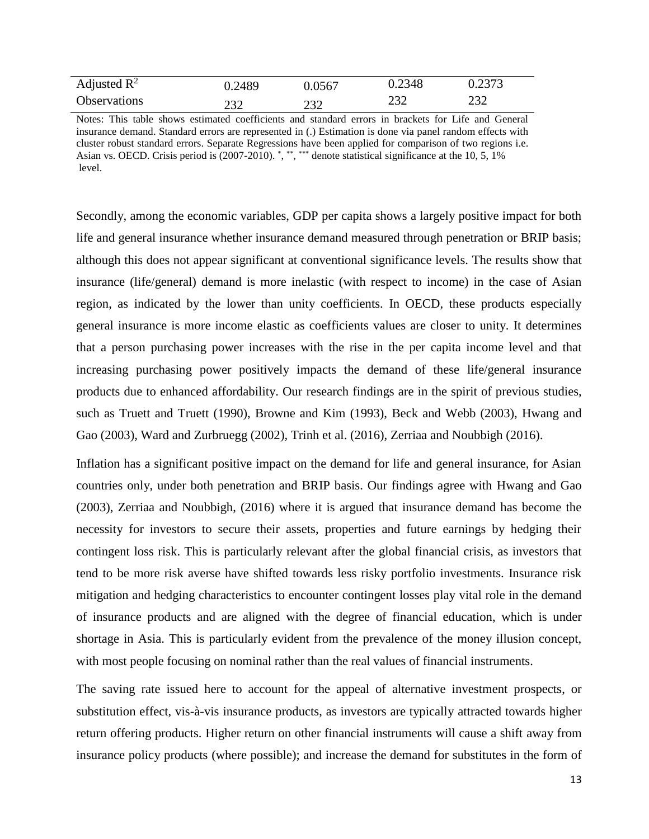| Adjusted $\mathbb{R}^2$ | 0.2489 | 0.0567 | 0.2348     | 0.2373 |
|-------------------------|--------|--------|------------|--------|
| <b>Observations</b>     | 232    | 232    | つつつ<br>ے ت | 232    |

Notes: This table shows estimated coefficients and standard errors in brackets for Life and General insurance demand. Standard errors are represented in (.) Estimation is done via panel random effects with cluster robust standard errors. Separate Regressions have been applied for comparison of two regions i.e. Asian vs. OECD. Crisis period is (2007-2010). \*, \*\*, \*\*\* denote statistical significance at the 10, 5, 1% level.

Secondly, among the economic variables, GDP per capita shows a largely positive impact for both life and general insurance whether insurance demand measured through penetration or BRIP basis; although this does not appear significant at conventional significance levels. The results show that insurance (life/general) demand is more inelastic (with respect to income) in the case of Asian region, as indicated by the lower than unity coefficients. In OECD, these products especially general insurance is more income elastic as coefficients values are closer to unity. It determines that a person purchasing power increases with the rise in the per capita income level and that increasing purchasing power positively impacts the demand of these life/general insurance products due to enhanced affordability. Our research findings are in the spirit of previous studies, such as Truett and Truett (1990), Browne and Kim (1993), Beck and Webb (2003), Hwang and Gao (2003), Ward and Zurbruegg (2002), Trinh et al. (2016), Zerriaa and Noubbigh (2016).

Inflation has a significant positive impact on the demand for life and general insurance, for Asian countries only, under both penetration and BRIP basis. Our findings agree with Hwang and Gao (2003), Zerriaa and Noubbigh, (2016) where it is argued that insurance demand has become the necessity for investors to secure their assets, properties and future earnings by hedging their contingent loss risk. This is particularly relevant after the global financial crisis, as investors that tend to be more risk averse have shifted towards less risky portfolio investments. Insurance risk mitigation and hedging characteristics to encounter contingent losses play vital role in the demand of insurance products and are aligned with the degree of financial education, which is under shortage in Asia. This is particularly evident from the prevalence of the money illusion concept, with most people focusing on nominal rather than the real values of financial instruments.

The saving rate issued here to account for the appeal of alternative investment prospects, or substitution effect, vis-à-vis insurance products, as investors are typically attracted towards higher return offering products. Higher return on other financial instruments will cause a shift away from insurance policy products (where possible); and increase the demand for substitutes in the form of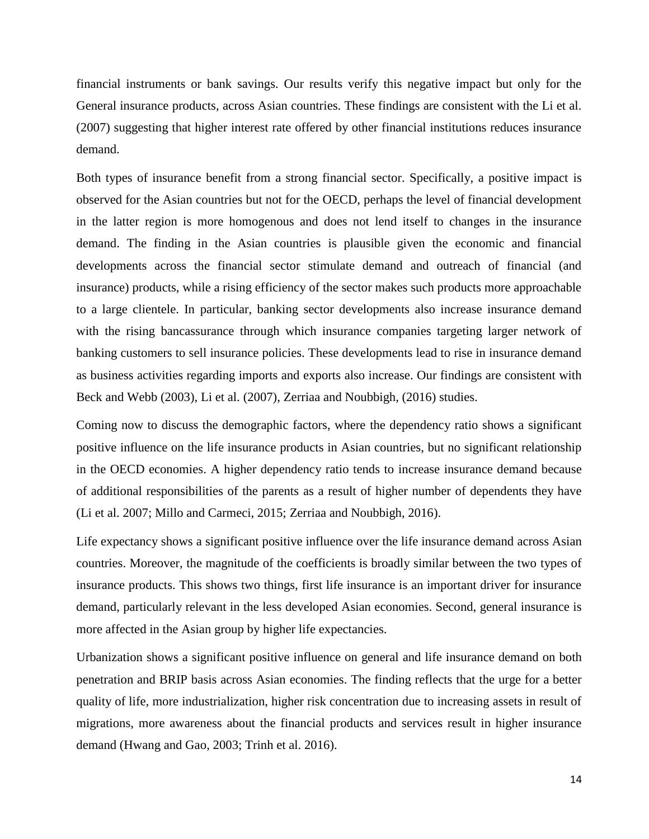financial instruments or bank savings. Our results verify this negative impact but only for the General insurance products, across Asian countries. These findings are consistent with the Li et al. (2007) suggesting that higher interest rate offered by other financial institutions reduces insurance demand.

Both types of insurance benefit from a strong financial sector. Specifically, a positive impact is observed for the Asian countries but not for the OECD, perhaps the level of financial development in the latter region is more homogenous and does not lend itself to changes in the insurance demand. The finding in the Asian countries is plausible given the economic and financial developments across the financial sector stimulate demand and outreach of financial (and insurance) products, while a rising efficiency of the sector makes such products more approachable to a large clientele. In particular, banking sector developments also increase insurance demand with the rising bancassurance through which insurance companies targeting larger network of banking customers to sell insurance policies. These developments lead to rise in insurance demand as business activities regarding imports and exports also increase. Our findings are consistent with Beck and Webb (2003), Li et al. (2007), Zerriaa and Noubbigh, (2016) studies.

Coming now to discuss the demographic factors, where the dependency ratio shows a significant positive influence on the life insurance products in Asian countries, but no significant relationship in the OECD economies. A higher dependency ratio tends to increase insurance demand because of additional responsibilities of the parents as a result of higher number of dependents they have (Li et al. 2007; Millo and Carmeci, 2015; Zerriaa and Noubbigh, 2016).

Life expectancy shows a significant positive influence over the life insurance demand across Asian countries. Moreover, the magnitude of the coefficients is broadly similar between the two types of insurance products. This shows two things, first life insurance is an important driver for insurance demand, particularly relevant in the less developed Asian economies. Second, general insurance is more affected in the Asian group by higher life expectancies.

Urbanization shows a significant positive influence on general and life insurance demand on both penetration and BRIP basis across Asian economies. The finding reflects that the urge for a better quality of life, more industrialization, higher risk concentration due to increasing assets in result of migrations, more awareness about the financial products and services result in higher insurance demand (Hwang and Gao, 2003; Trinh et al. 2016).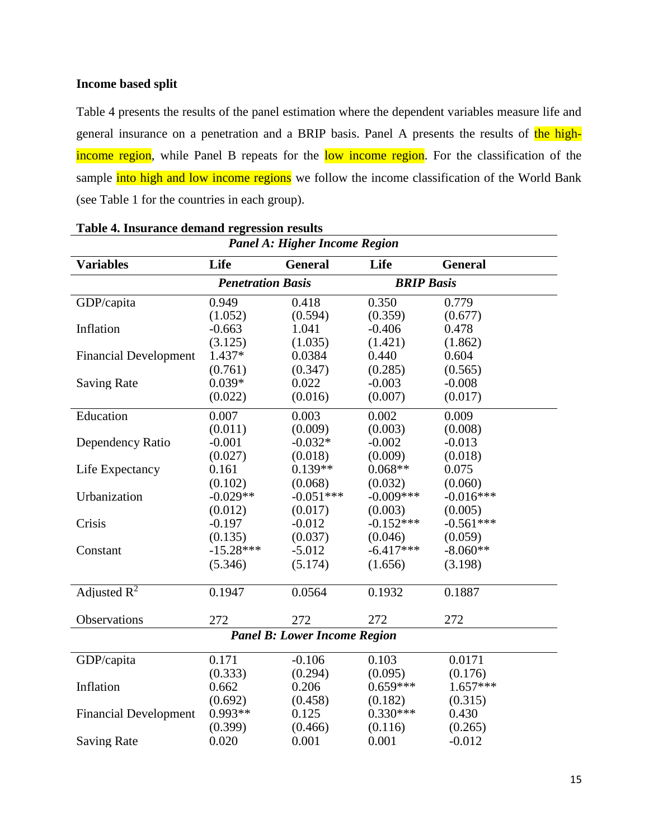#### **Income based split**

Table 4 presents the results of the panel estimation where the dependent variables measure life and general insurance on a penetration and a BRIP basis. Panel A presents the results of the highincome region, while Panel B repeats for the low income region. For the classification of the sample into high and low income regions we follow the income classification of the World Bank (see Table 1 for the countries in each group).

| Panel A: Higher Income Region       |                          |                |                   |                |  |  |  |
|-------------------------------------|--------------------------|----------------|-------------------|----------------|--|--|--|
| <b>Variables</b>                    | Life                     | <b>General</b> | Life              | <b>General</b> |  |  |  |
|                                     | <b>Penetration Basis</b> |                | <b>BRIP Basis</b> |                |  |  |  |
| GDP/capita                          | 0.949                    | 0.418          | 0.350             | 0.779          |  |  |  |
|                                     | (1.052)                  | (0.594)        | (0.359)           | (0.677)        |  |  |  |
| Inflation                           | $-0.663$                 | 1.041          | $-0.406$          | 0.478          |  |  |  |
|                                     | (3.125)                  | (1.035)        | (1.421)           | (1.862)        |  |  |  |
| <b>Financial Development</b>        | 1.437*                   | 0.0384         | 0.440             | 0.604          |  |  |  |
|                                     | (0.761)                  | (0.347)        | (0.285)           | (0.565)        |  |  |  |
| <b>Saving Rate</b>                  | $0.039*$                 | 0.022          | $-0.003$          | $-0.008$       |  |  |  |
|                                     | (0.022)                  | (0.016)        | (0.007)           | (0.017)        |  |  |  |
| Education                           | 0.007                    | 0.003          | 0.002             | 0.009          |  |  |  |
|                                     | (0.011)                  | (0.009)        | (0.003)           | (0.008)        |  |  |  |
| Dependency Ratio                    | $-0.001$                 | $-0.032*$      | $-0.002$          | $-0.013$       |  |  |  |
|                                     | (0.027)                  | (0.018)        | (0.009)           | (0.018)        |  |  |  |
| Life Expectancy                     | 0.161                    | $0.139**$      | $0.068**$         | 0.075          |  |  |  |
|                                     | (0.102)                  | (0.068)        | (0.032)           | (0.060)        |  |  |  |
| Urbanization                        | $-0.029**$               | $-0.051***$    | $-0.009***$       | $-0.016***$    |  |  |  |
|                                     | (0.012)                  | (0.017)        | (0.003)           | (0.005)        |  |  |  |
| Crisis                              | $-0.197$                 | $-0.012$       | $-0.152***$       | $-0.561***$    |  |  |  |
|                                     | (0.135)                  | (0.037)        | (0.046)           | (0.059)        |  |  |  |
| Constant                            | $-15.28***$              | $-5.012$       | $-6.417***$       | $-8.060**$     |  |  |  |
|                                     | (5.346)                  | (5.174)        | (1.656)           | (3.198)        |  |  |  |
| Adjusted $R^2$                      | 0.1947                   | 0.0564         | 0.1932            | 0.1887         |  |  |  |
|                                     |                          |                |                   |                |  |  |  |
| Observations                        | 272                      | 272            | 272               | 272            |  |  |  |
| <b>Panel B: Lower Income Region</b> |                          |                |                   |                |  |  |  |
| GDP/capita                          | 0.171                    | $-0.106$       | 0.103             | 0.0171         |  |  |  |
|                                     | (0.333)                  | (0.294)        | (0.095)           | (0.176)        |  |  |  |
| Inflation                           | 0.662                    | 0.206          | $0.659***$        | $1.657***$     |  |  |  |
|                                     | (0.692)                  | (0.458)        | (0.182)           | (0.315)        |  |  |  |
| <b>Financial Development</b>        | $0.993**$                | 0.125          | $0.330***$        | 0.430          |  |  |  |
|                                     | (0.399)                  | (0.466)        | (0.116)           | (0.265)        |  |  |  |
| <b>Saving Rate</b>                  | 0.020                    | 0.001          | 0.001             | $-0.012$       |  |  |  |

#### **Table 4. Insurance demand regression results**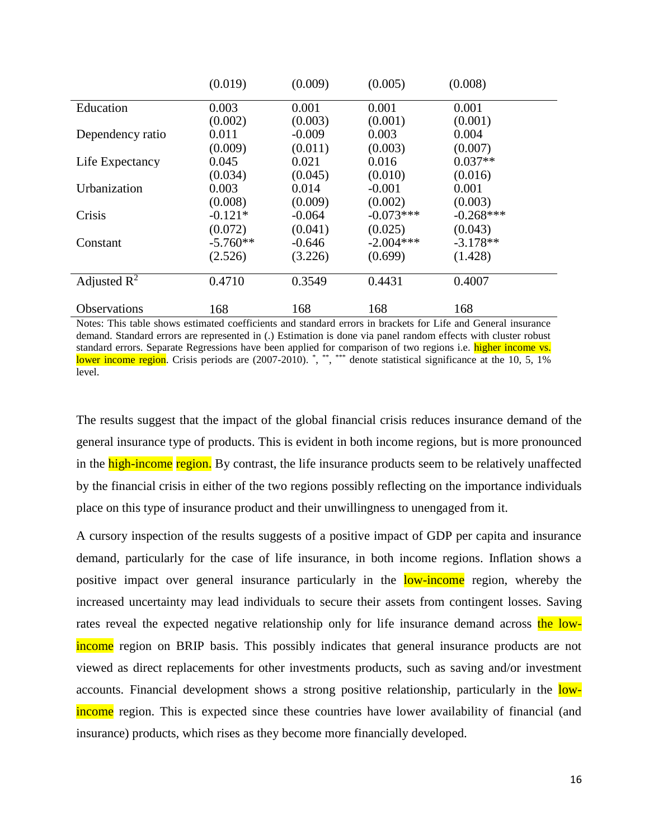|                         | (0.019)    | (0.009)  | (0.005)     | (0.008)     |
|-------------------------|------------|----------|-------------|-------------|
| Education               | 0.003      | 0.001    | 0.001       | 0.001       |
|                         | (0.002)    | (0.003)  | (0.001)     | (0.001)     |
| Dependency ratio        | 0.011      | $-0.009$ | 0.003       | 0.004       |
|                         | (0.009)    | (0.011)  | (0.003)     | (0.007)     |
| Life Expectancy         | 0.045      | 0.021    | 0.016       | $0.037**$   |
|                         | (0.034)    | (0.045)  | (0.010)     | (0.016)     |
| Urbanization            | 0.003      | 0.014    | $-0.001$    | 0.001       |
|                         | (0.008)    | (0.009)  | (0.002)     | (0.003)     |
| Crisis                  | $-0.121*$  | $-0.064$ | $-0.073***$ | $-0.268***$ |
|                         | (0.072)    | (0.041)  | (0.025)     | (0.043)     |
| Constant                | $-5.760**$ | $-0.646$ | $-2.004***$ | $-3.178**$  |
|                         | (2.526)    | (3.226)  | (0.699)     | (1.428)     |
| Adjusted $\mathbb{R}^2$ | 0.4710     | 0.3549   | 0.4431      | 0.4007      |
| Observations            | 168        | 168      | 168         | 168         |

Notes: This table shows estimated coefficients and standard errors in brackets for Life and General insurance demand. Standard errors are represented in (.) Estimation is done via panel random effects with cluster robust standard errors. Separate Regressions have been applied for comparison of two regions i.e. higher income vs. lower income region. Crisis periods are (2007-2010). \*, \*\*, \*\*\* denote statistical significance at the 10, 5, 1% level.

The results suggest that the impact of the global financial crisis reduces insurance demand of the general insurance type of products. This is evident in both income regions, but is more pronounced in the high-income region. By contrast, the life insurance products seem to be relatively unaffected by the financial crisis in either of the two regions possibly reflecting on the importance individuals place on this type of insurance product and their unwillingness to unengaged from it.

A cursory inspection of the results suggests of a positive impact of GDP per capita and insurance demand, particularly for the case of life insurance, in both income regions. Inflation shows a positive impact over general insurance particularly in the **low-income** region, whereby the increased uncertainty may lead individuals to secure their assets from contingent losses. Saving rates reveal the expected negative relationship only for life insurance demand across the lowincome region on BRIP basis. This possibly indicates that general insurance products are not viewed as direct replacements for other investments products, such as saving and/or investment accounts. Financial development shows a strong positive relationship, particularly in the lowincome region. This is expected since these countries have lower availability of financial (and insurance) products, which rises as they become more financially developed.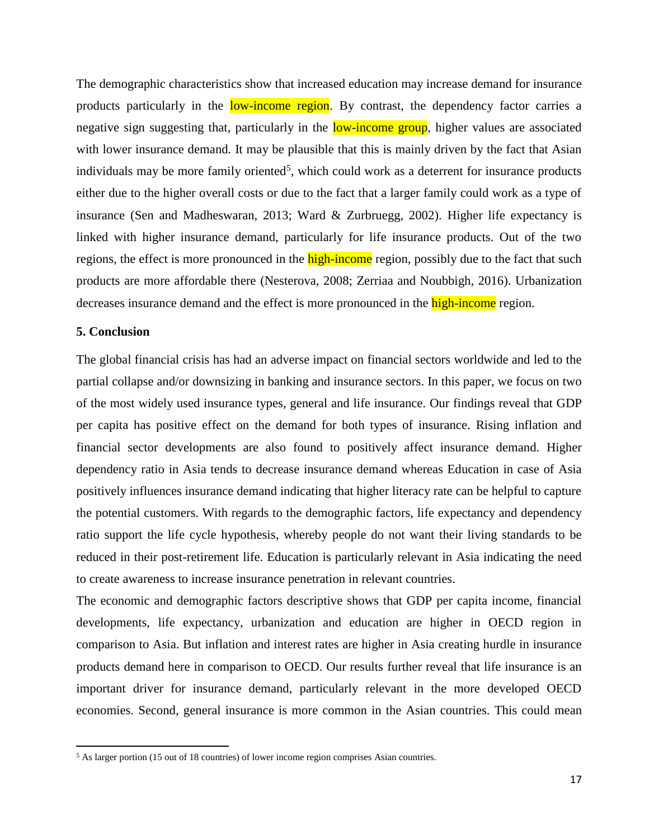The demographic characteristics show that increased education may increase demand for insurance products particularly in the low-income region. By contrast, the dependency factor carries a negative sign suggesting that, particularly in the low-income group, higher values are associated with lower insurance demand. It may be plausible that this is mainly driven by the fact that Asian individuals may be more family oriented<sup>5</sup>, which could work as a deterrent for insurance products either due to the higher overall costs or due to the fact that a larger family could work as a type of insurance (Sen and Madheswaran, 2013; Ward & Zurbruegg, 2002). Higher life expectancy is linked with higher insurance demand, particularly for life insurance products. Out of the two regions, the effect is more pronounced in the **high-income** region, possibly due to the fact that such products are more affordable there (Nesterova, 2008; Zerriaa and Noubbigh, 2016). Urbanization decreases insurance demand and the effect is more pronounced in the **high-income** region.

#### **5. Conclusion**

 $\overline{a}$ 

The global financial crisis has had an adverse impact on financial sectors worldwide and led to the partial collapse and/or downsizing in banking and insurance sectors. In this paper, we focus on two of the most widely used insurance types, general and life insurance. Our findings reveal that GDP per capita has positive effect on the demand for both types of insurance. Rising inflation and financial sector developments are also found to positively affect insurance demand. Higher dependency ratio in Asia tends to decrease insurance demand whereas Education in case of Asia positively influences insurance demand indicating that higher literacy rate can be helpful to capture the potential customers. With regards to the demographic factors, life expectancy and dependency ratio support the life cycle hypothesis, whereby people do not want their living standards to be reduced in their post-retirement life. Education is particularly relevant in Asia indicating the need to create awareness to increase insurance penetration in relevant countries.

The economic and demographic factors descriptive shows that GDP per capita income, financial developments, life expectancy, urbanization and education are higher in OECD region in comparison to Asia. But inflation and interest rates are higher in Asia creating hurdle in insurance products demand here in comparison to OECD. Our results further reveal that life insurance is an important driver for insurance demand, particularly relevant in the more developed OECD economies. Second, general insurance is more common in the Asian countries. This could mean

 $<sup>5</sup>$  As larger portion (15 out of 18 countries) of lower income region comprises Asian countries.</sup>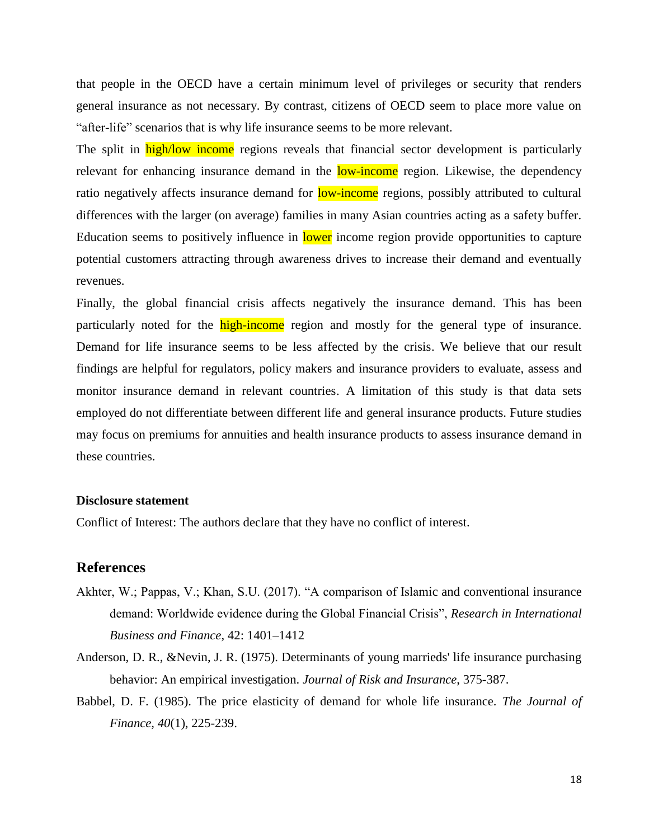that people in the OECD have a certain minimum level of privileges or security that renders general insurance as not necessary. By contrast, citizens of OECD seem to place more value on "after-life" scenarios that is why life insurance seems to be more relevant.

The split in high/low income regions reveals that financial sector development is particularly relevant for enhancing insurance demand in the **low-income** region. Likewise, the dependency ratio negatively affects insurance demand for **low-income** regions, possibly attributed to cultural differences with the larger (on average) families in many Asian countries acting as a safety buffer. Education seems to positively influence in lower income region provide opportunities to capture potential customers attracting through awareness drives to increase their demand and eventually revenues.

Finally, the global financial crisis affects negatively the insurance demand. This has been particularly noted for the **high-income** region and mostly for the general type of insurance. Demand for life insurance seems to be less affected by the crisis. We believe that our result findings are helpful for regulators, policy makers and insurance providers to evaluate, assess and monitor insurance demand in relevant countries. A limitation of this study is that data sets employed do not differentiate between different life and general insurance products. Future studies may focus on premiums for annuities and health insurance products to assess insurance demand in these countries.

#### **Disclosure statement**

Conflict of Interest: The authors declare that they have no conflict of interest.

#### **References**

- Akhter, W.; Pappas, V.; Khan, S.U. (2017). "A comparison of Islamic and conventional insurance demand: Worldwide evidence during the Global Financial Crisis", *Research in International Business and Finance*, 42: 1401–1412
- Anderson, D. R., &Nevin, J. R. (1975). Determinants of young marrieds' life insurance purchasing behavior: An empirical investigation. *Journal of Risk and Insurance*, 375-387.
- Babbel, D. F. (1985). The price elasticity of demand for whole life insurance. *The Journal of Finance, 40*(1), 225-239.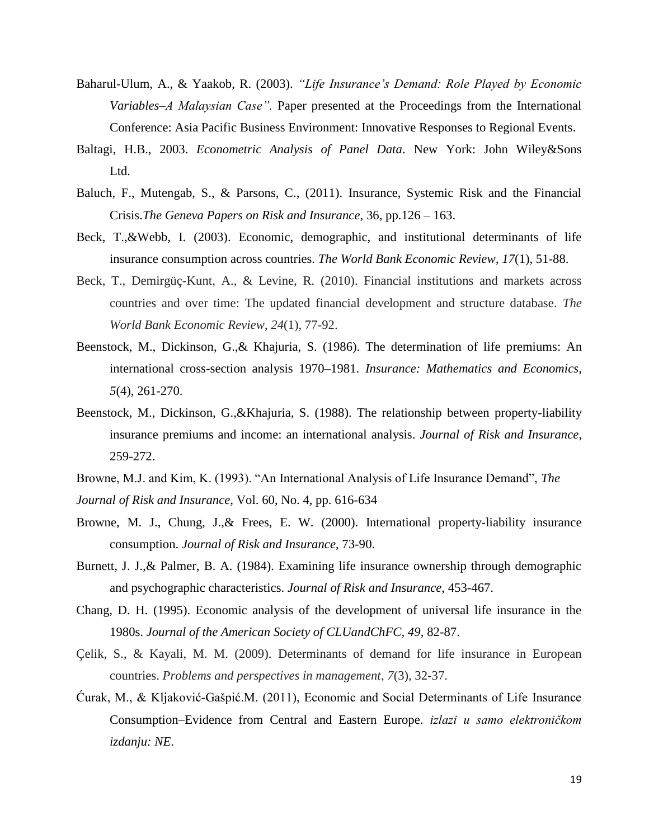- Baharul-Ulum, A., & Yaakob, R. (2003). *"Life Insurance's Demand: Role Played by Economic Variables–A Malaysian Case".* Paper presented at the Proceedings from the International Conference: Asia Pacific Business Environment: Innovative Responses to Regional Events.
- Baltagi, H.B., 2003. *Econometric Analysis of Panel Data*. New York: John Wiley&Sons Ltd.
- Baluch, F., Mutengab, S., & Parsons, C., (2011). Insurance, Systemic Risk and the Financial Crisis.*The Geneva Papers on Risk and Insurance*, 36, pp.126 – 163.
- Beck, T.,&Webb, I. (2003). Economic, demographic, and institutional determinants of life insurance consumption across countries. *The World Bank Economic Review, 17*(1), 51-88.
- Beck, T., Demirgüç-Kunt, A., & Levine, R. (2010). Financial institutions and markets across countries and over time: The updated financial development and structure database. *The World Bank Economic Review*, *24*(1), 77-92.
- Beenstock, M., Dickinson, G.,& Khajuria, S. (1986). The determination of life premiums: An international cross-section analysis 1970–1981. *Insurance: Mathematics and Economics, 5*(4), 261-270.
- Beenstock, M., Dickinson, G.,&Khajuria, S. (1988). The relationship between property-liability insurance premiums and income: an international analysis. *Journal of Risk and Insurance*, 259-272.
- Browne, M.J. and Kim, K. (1993). "An International Analysis of Life Insurance Demand", *The*
- *Journal of Risk and Insurance,* Vol. 60, No. 4, pp. 616-634
- Browne, M. J., Chung, J.,& Frees, E. W. (2000). International property-liability insurance consumption. *Journal of Risk and Insurance*, 73-90.
- Burnett, J. J.,& Palmer, B. A. (1984). Examining life insurance ownership through demographic and psychographic characteristics. *Journal of Risk and Insurance*, 453-467.
- Chang, D. H. (1995). Economic analysis of the development of universal life insurance in the 1980s. *Journal of the American Society of CLUandChFC, 49*, 82-87.
- Çelik, S., & Kayali, M. M. (2009). Determinants of demand for life insurance in European countries. *Problems and perspectives in management*, *7*(3), 32-37.
- Ćurak, M., & Kljaković-Gašpić.M. (2011), Economic and Social Determinants of Life Insurance Consumption–Evidence from Central and Eastern Europe. *izlazi u samo elektroničkom izdanju: NE*.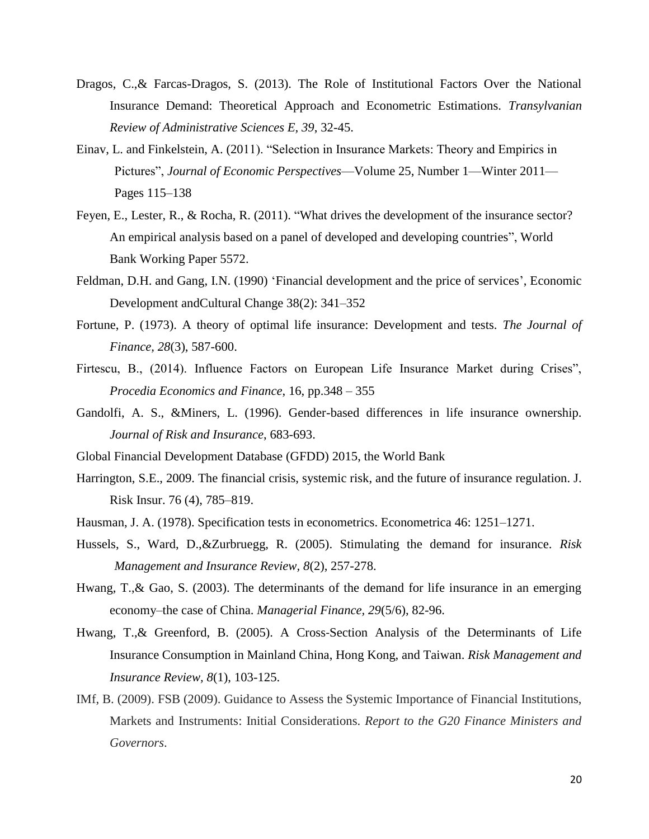- Dragos, C.,& Farcas-Dragos, S. (2013). The Role of Institutional Factors Over the National Insurance Demand: Theoretical Approach and Econometric Estimations. *Transylvanian Review of Administrative Sciences E, 39*, 32-45.
- Einav, L. and Finkelstein, A. (2011). "Selection in Insurance Markets: Theory and Empirics in Pictures", *Journal of Economic Perspectives*—Volume 25, Number 1—Winter 2011— Pages 115–138
- Feyen, E., Lester, R., & Rocha, R. (2011). "What drives the development of the insurance sector? An empirical analysis based on a panel of developed and developing countries", World Bank Working Paper 5572.
- Feldman, D.H. and Gang, I.N. (1990) 'Financial development and the price of services', Economic Development andCultural Change 38(2): 341–352
- Fortune, P. (1973). A theory of optimal life insurance: Development and tests. *The Journal of Finance, 28*(3), 587-600.
- Firtescu, B., (2014). Influence Factors on European Life Insurance Market during Crises", *Procedia Economics and Finance*, 16, pp.348 – 355
- Gandolfi, A. S., &Miners, L. (1996). Gender-based differences in life insurance ownership. *Journal of Risk and Insurance*, 683-693.
- Global Financial Development Database (GFDD) 2015, the World Bank
- Harrington, S.E., 2009. The financial crisis, systemic risk, and the future of insurance regulation. J. Risk Insur. 76 (4), 785–819.
- Hausman, J. A. (1978). Specification tests in econometrics. Econometrica 46: 1251–1271.
- Hussels, S., Ward, D.,&Zurbruegg, R. (2005). Stimulating the demand for insurance. *Risk Management and Insurance Review, 8*(2), 257-278.
- Hwang, T.,& Gao, S. (2003). The determinants of the demand for life insurance in an emerging economy–the case of China. *Managerial Finance, 29*(5/6), 82-96.
- Hwang, T.,& Greenford, B. (2005). A Cross‐Section Analysis of the Determinants of Life Insurance Consumption in Mainland China, Hong Kong, and Taiwan. *Risk Management and Insurance Review, 8*(1), 103-125.
- IMf, B. (2009). FSB (2009). Guidance to Assess the Systemic Importance of Financial Institutions, Markets and Instruments: Initial Considerations. *Report to the G20 Finance Ministers and Governors*.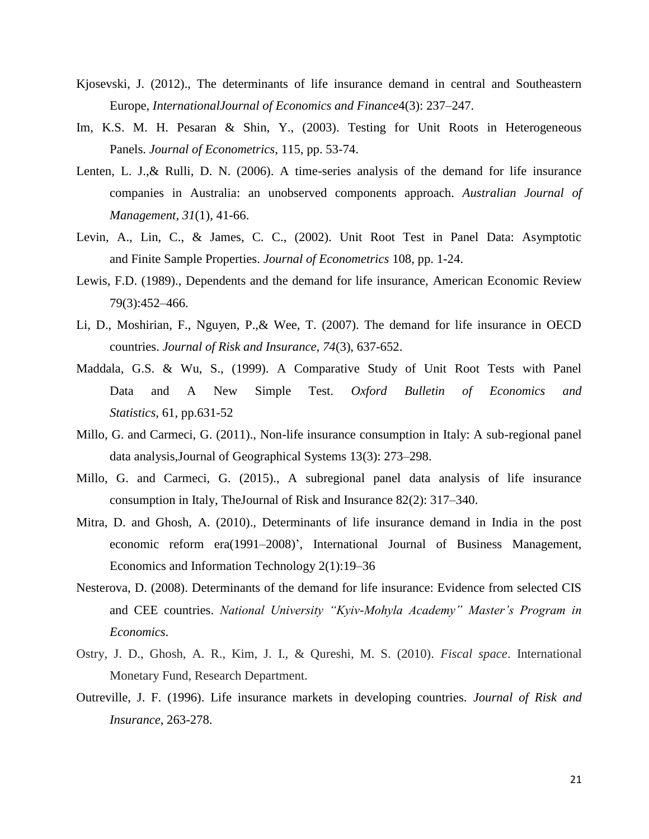- Kjosevski, J. (2012)., The determinants of life insurance demand in central and Southeastern Europe, *InternationalJournal of Economics and Finance*4(3): 237–247.
- Im, K.S. M. H. Pesaran & Shin, Y., (2003). Testing for Unit Roots in Heterogeneous Panels. *Journal of Econometrics*, 115, pp. 53-74.
- Lenten, L. J.,& Rulli, D. N. (2006). A time-series analysis of the demand for life insurance companies in Australia: an unobserved components approach. *Australian Journal of Management, 31*(1), 41-66.
- Levin, A., Lin, C., & James, C. C., (2002). Unit Root Test in Panel Data: Asymptotic and Finite Sample Properties. *Journal of Econometrics* 108, pp. 1-24.
- Lewis, F.D. (1989)., Dependents and the demand for life insurance, American Economic Review 79(3):452–466.
- Li, D., Moshirian, F., Nguyen, P.,& Wee, T. (2007). The demand for life insurance in OECD countries. *Journal of Risk and Insurance, 74*(3), 637-652.
- Maddala, G.S. & Wu, S., (1999). A Comparative Study of Unit Root Tests with Panel Data and A New Simple Test. *Oxford Bulletin of Economics and Statistics*, 61, pp.631-52
- Millo, G. and Carmeci, G. (2011)., Non-life insurance consumption in Italy: A sub-regional panel data analysis,Journal of Geographical Systems 13(3): 273–298.
- Millo, G. and Carmeci, G. (2015)., A subregional panel data analysis of life insurance consumption in Italy, TheJournal of Risk and Insurance 82(2): 317–340.
- Mitra, D. and Ghosh, A. (2010)., Determinants of life insurance demand in India in the post economic reform era(1991–2008)', International Journal of Business Management, Economics and Information Technology 2(1):19–36
- Nesterova, D. (2008). Determinants of the demand for life insurance: Evidence from selected CIS and CEE countries. *National University "Kyiv-Mohyla Academy" Master's Program in Economics*.
- Ostry, J. D., Ghosh, A. R., Kim, J. I., & Qureshi, M. S. (2010). *Fiscal space*. International Monetary Fund, Research Department.
- Outreville, J. F. (1996). Life insurance markets in developing countries. *Journal of Risk and Insurance*, 263-278.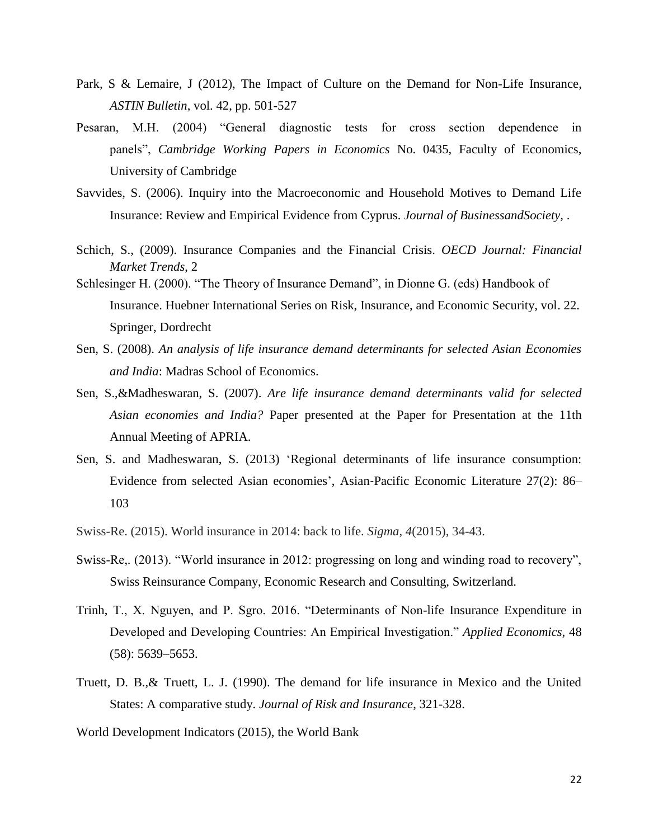- Park, S & Lemaire, J (2012), The Impact of Culture on the Demand for Non-Life Insurance, *ASTIN Bulletin*, vol. 42, pp. 501-527
- Pesaran, M.H. (2004) "General diagnostic tests for cross section dependence in panels", *Cambridge Working Papers in Economics* No. 0435, Faculty of Economics, University of Cambridge
- Savvides, S. (2006). Inquiry into the Macroeconomic and Household Motives to Demand Life Insurance: Review and Empirical Evidence from Cyprus. *Journal of BusinessandSociety,* .
- Schich, S., (2009). Insurance Companies and the Financial Crisis. *OECD Journal: Financial Market Trends*, 2
- Schlesinger H. (2000). "The Theory of Insurance Demand", in Dionne G. (eds) Handbook of Insurance. Huebner International Series on Risk, Insurance, and Economic Security, vol. 22. Springer, Dordrecht
- Sen, S. (2008). *An analysis of life insurance demand determinants for selected Asian Economies and India*: Madras School of Economics.
- Sen, S.,&Madheswaran, S. (2007). *Are life insurance demand determinants valid for selected Asian economies and India?* Paper presented at the Paper for Presentation at the 11th Annual Meeting of APRIA.
- Sen, S. and Madheswaran, S. (2013) 'Regional determinants of life insurance consumption: Evidence from selected Asian economies', Asian‐Pacific Economic Literature 27(2): 86– 103
- Swiss-Re. (2015). World insurance in 2014: back to life. *Sigma*, *4*(2015), 34-43.
- Swiss-Re,. (2013). "World insurance in 2012: progressing on long and winding road to recovery", Swiss Reinsurance Company, Economic Research and Consulting, Switzerland.
- Trinh, T., X. Nguyen, and P. Sgro. 2016. "Determinants of Non-life Insurance Expenditure in Developed and Developing Countries: An Empirical Investigation." *Applied Economics*, 48 (58): 5639–5653.
- Truett, D. B.,& Truett, L. J. (1990). The demand for life insurance in Mexico and the United States: A comparative study. *Journal of Risk and Insurance*, 321-328.
- World Development Indicators (2015), the World Bank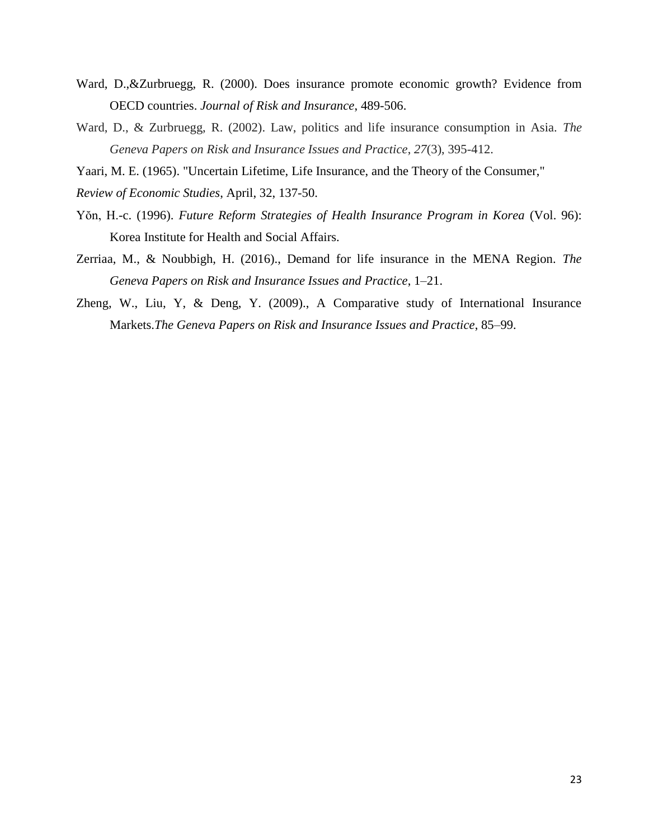- Ward, D.,&Zurbruegg, R. (2000). Does insurance promote economic growth? Evidence from OECD countries. *Journal of Risk and Insurance*, 489-506.
- Ward, D., & Zurbruegg, R. (2002). Law, politics and life insurance consumption in Asia. *The Geneva Papers on Risk and Insurance Issues and Practice*, *27*(3), 395-412.
- Yaari, M. E. (1965). "Uncertain Lifetime, Life Insurance, and the Theory of the Consumer,"
- *Review of Economic Studies*, April, 32, 137-50.
- Yŏn, H.-c. (1996). *Future Reform Strategies of Health Insurance Program in Korea* (Vol. 96): Korea Institute for Health and Social Affairs.
- Zerriaa, M., & Noubbigh, H. (2016)., Demand for life insurance in the MENA Region. *The Geneva Papers on Risk and Insurance Issues and Practice*, 1–21.
- Zheng, W., Liu, Y, & Deng, Y. (2009)., A Comparative study of International Insurance Markets.*The Geneva Papers on Risk and Insurance Issues and Practice*, 85–99.